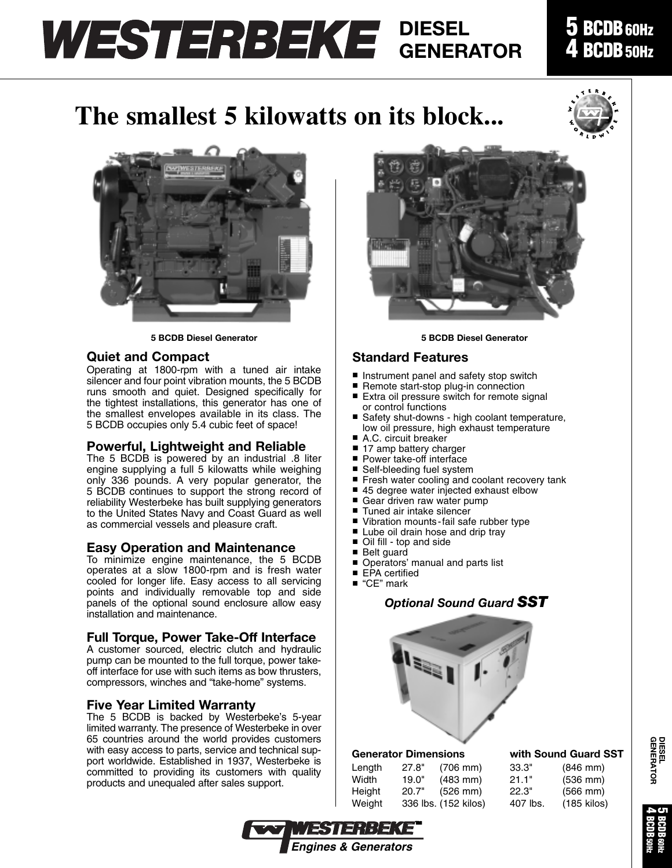## **DIESEL GENERATOR**

### **5 BCDB60Hz 4 BCDB50Hz**

# **The smallest 5 kilowatts on its block...**







#### **Quiet and Compact**

Operating at 1800-rpm with a tuned air intake silencer and four point vibration mounts, the 5 BCDB runs smooth and quiet. Designed specifically for the tightest installations, this generator has one of the smallest envelopes available in its class. The 5 BCDB occupies only 5.4 cubic feet of space!

### **Powerful, Lightweight and Reliable**

The 5 BCDB is powered by an industrial .8 liter engine supplying a full 5 kilowatts while weighing only 336 pounds. A very popular generator, the 5 BCDB continues to support the strong record of reliability Westerbeke has built supplying generators to the United States Navy and Coast Guard as well as commercial vessels and pleasure craft.

#### **Easy Operation and Maintenance**

To minimize engine maintenance, the 5 BCDB operates at a slow 1800-rpm and is fresh water cooled for longer life. Easy access to all servicing points and individually removable top and side panels of the optional sound enclosure allow easy installation and maintenance.

#### **Full Torque, Power Take-Off Interface**

A customer sourced, electric clutch and hydraulic pump can be mounted to the full torque, power takeoff interface for use with such items as bow thrusters, compressors, winches and "take-home" systems.

#### **Five Year Limited Warranty**

The 5 BCDB is backed by Westerbeke's 5-year limited warranty. The presence of Westerbeke in over 65 countries around the world provides customers with easy access to parts, service and technical support worldwide. Established in 1937, Westerbeke is committed to providing its customers with quality products and unequaled after sales support.



#### **Standard Features**

- Instrument panel and safety stop switch
- Remote start-stop plug-in connection<br>■ Extra oil pressure switch for remote s
- Extra oil pressure switch for remote signal or control functions
- Safety shut-downs high coolant temperature, low oil pressure, high exhaust temperature
- A.C. circuit breaker
- 17 amp battery charger
- Power take-off interface<br>■ Self-bleeding fuel syster
- Self-bleeding fuel system
- Fresh water cooling and coolant recovery tank
- 45 degree water injected exhaust elbow
- Gear driven raw water pump<br>■ Tuned air intake silencer
- Tuned air intake silencer
- Vibration mounts-fail safe rubber type
- Lube oil drain hose and drip tray
- Oil fill top and side
- Belt guard
- Operators' manual and parts list
- EPA certified
- "CE" mark

### *Optional Sound Guard SST*



#### **Generator Dimensions with Sound Guard SST**

WESTERBEK *Engines & Generators*

| Length | 27.8" | $(706 \, \text{mm})$ | 33.3"    | $(846$ mm)           |
|--------|-------|----------------------|----------|----------------------|
| Width  | 19.0" | $(483 \, \text{mm})$ | 21.1"    | $(536 \, \text{mm})$ |
| Height | 20.7" | $(526 \, \text{mm})$ | 22.3"    | $(566$ mm $)$        |
| Weight |       | 336 lbs. (152 kilos) | 407 lbs. | $(185$ kilos         |



**5 BCDB60Hz 4 BCDB50Hz**

**DIESEL GENERATOR**